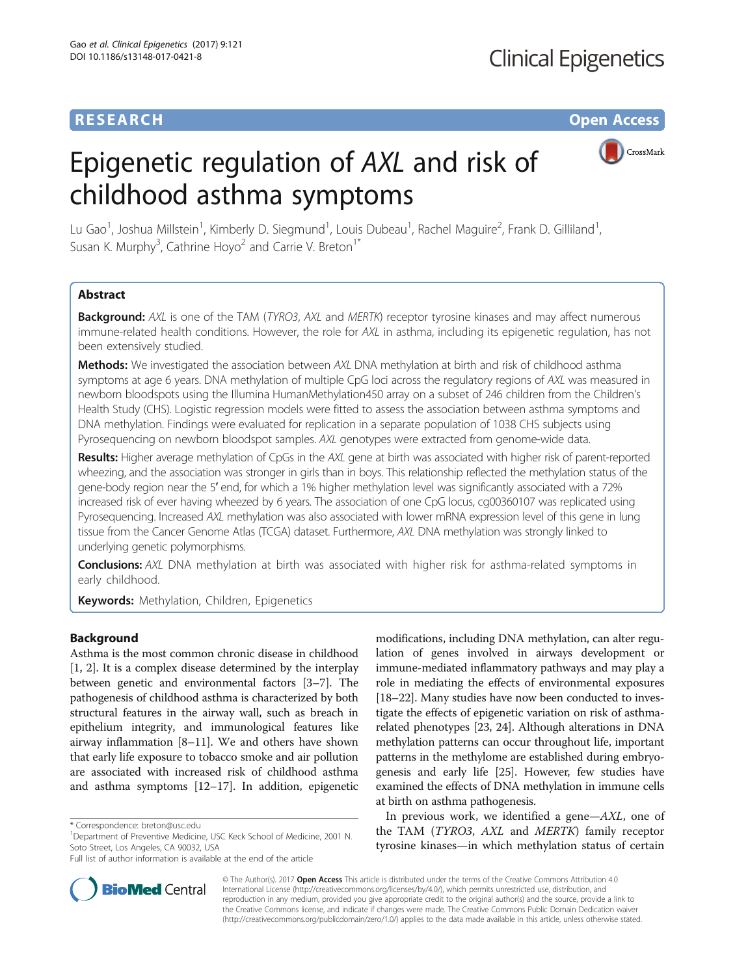# **RESEARCH CHE Open Access**

# CrossMark

# Epigenetic regulation of AXL and risk of childhood asthma symptoms

Lu Gao<sup>1</sup>, Joshua Millstein<sup>1</sup>, Kimberly D. Siegmund<sup>1</sup>, Louis Dubeau<sup>1</sup>, Rachel Maguire<sup>2</sup>, Frank D. Gilliland<sup>1</sup> , Susan K. Murphy<sup>3</sup>, Cathrine Hoyo<sup>2</sup> and Carrie V. Breton<sup>1\*</sup>

# Abstract

**Background:** AXL is one of the TAM (TYRO3, AXL and MERTK) receptor tyrosine kinases and may affect numerous immune-related health conditions. However, the role for AXL in asthma, including its epigenetic regulation, has not been extensively studied.

Methods: We investigated the association between AXL DNA methylation at birth and risk of childhood asthma symptoms at age 6 years. DNA methylation of multiple CpG loci across the regulatory regions of AXL was measured in newborn bloodspots using the Illumina HumanMethylation450 array on a subset of 246 children from the Children's Health Study (CHS). Logistic regression models were fitted to assess the association between asthma symptoms and DNA methylation. Findings were evaluated for replication in a separate population of 1038 CHS subjects using Pyrosequencing on newborn bloodspot samples. AXL genotypes were extracted from genome-wide data.

Results: Higher average methylation of CpGs in the AXL gene at birth was associated with higher risk of parent-reported wheezing, and the association was stronger in girls than in boys. This relationship reflected the methylation status of the gene-body region near the 5′ end, for which a 1% higher methylation level was significantly associated with a 72% increased risk of ever having wheezed by 6 years. The association of one CpG locus, cg00360107 was replicated using Pyrosequencing. Increased AXL methylation was also associated with lower mRNA expression level of this gene in lung tissue from the Cancer Genome Atlas (TCGA) dataset. Furthermore, AXL DNA methylation was strongly linked to underlying genetic polymorphisms.

**Conclusions:** AXL DNA methylation at birth was associated with higher risk for asthma-related symptoms in early childhood.

**Keywords:** Methylation, Children, Epigenetics

# Background

Asthma is the most common chronic disease in childhood [[1, 2\]](#page-10-0). It is a complex disease determined by the interplay between genetic and environmental factors [\[3](#page-10-0)–[7\]](#page-10-0). The pathogenesis of childhood asthma is characterized by both structural features in the airway wall, such as breach in epithelium integrity, and immunological features like airway inflammation [\[8](#page-10-0)–[11](#page-10-0)]. We and others have shown that early life exposure to tobacco smoke and air pollution are associated with increased risk of childhood asthma and asthma symptoms [\[12](#page-10-0)–[17\]](#page-10-0). In addition, epigenetic



In previous work, we identified a gene—AXL, one of the TAM (TYRO3, AXL and MERTK) family receptor tyrosine kinases—in which methylation status of certain



© The Author(s). 2017 **Open Access** This article is distributed under the terms of the Creative Commons Attribution 4.0 International License [\(http://creativecommons.org/licenses/by/4.0/](http://creativecommons.org/licenses/by/4.0/)), which permits unrestricted use, distribution, and reproduction in any medium, provided you give appropriate credit to the original author(s) and the source, provide a link to the Creative Commons license, and indicate if changes were made. The Creative Commons Public Domain Dedication waiver [\(http://creativecommons.org/publicdomain/zero/1.0/](http://creativecommons.org/publicdomain/zero/1.0/)) applies to the data made available in this article, unless otherwise stated.

<sup>\*</sup> Correspondence: [breton@usc.edu](mailto:breton@usc.edu) <sup>1</sup>

<sup>&</sup>lt;sup>1</sup>Department of Preventive Medicine, USC Keck School of Medicine, 2001 N. Soto Street, Los Angeles, CA 90032, USA

Full list of author information is available at the end of the article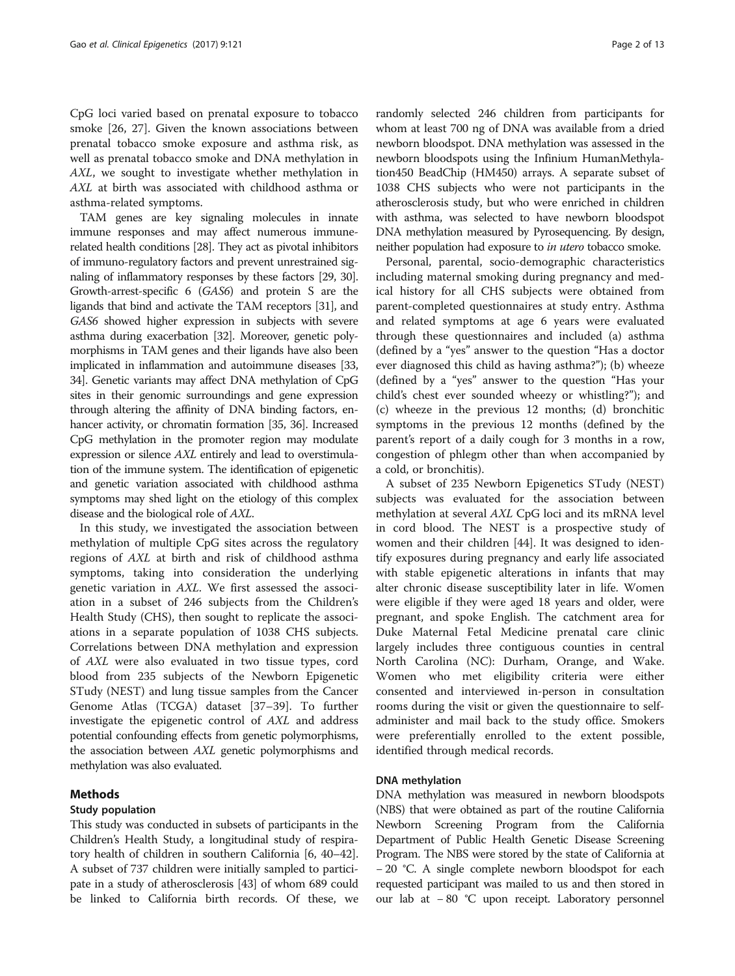CpG loci varied based on prenatal exposure to tobacco smoke [[26](#page-11-0), [27\]](#page-11-0). Given the known associations between prenatal tobacco smoke exposure and asthma risk, as well as prenatal tobacco smoke and DNA methylation in AXL, we sought to investigate whether methylation in AXL at birth was associated with childhood asthma or asthma-related symptoms.

TAM genes are key signaling molecules in innate immune responses and may affect numerous immunerelated health conditions [\[28\]](#page-11-0). They act as pivotal inhibitors of immuno-regulatory factors and prevent unrestrained signaling of inflammatory responses by these factors [\[29, 30](#page-11-0)]. Growth-arrest-specific 6 (GAS6) and protein S are the ligands that bind and activate the TAM receptors [\[31\]](#page-11-0), and GAS6 showed higher expression in subjects with severe asthma during exacerbation [\[32](#page-11-0)]. Moreover, genetic polymorphisms in TAM genes and their ligands have also been implicated in inflammation and autoimmune diseases [\[33](#page-11-0), [34](#page-11-0)]. Genetic variants may affect DNA methylation of CpG sites in their genomic surroundings and gene expression through altering the affinity of DNA binding factors, en-hancer activity, or chromatin formation [\[35, 36\]](#page-11-0). Increased CpG methylation in the promoter region may modulate expression or silence AXL entirely and lead to overstimulation of the immune system. The identification of epigenetic and genetic variation associated with childhood asthma symptoms may shed light on the etiology of this complex disease and the biological role of AXL.

In this study, we investigated the association between methylation of multiple CpG sites across the regulatory regions of AXL at birth and risk of childhood asthma symptoms, taking into consideration the underlying genetic variation in AXL. We first assessed the association in a subset of 246 subjects from the Children's Health Study (CHS), then sought to replicate the associations in a separate population of 1038 CHS subjects. Correlations between DNA methylation and expression of AXL were also evaluated in two tissue types, cord blood from 235 subjects of the Newborn Epigenetic STudy (NEST) and lung tissue samples from the Cancer Genome Atlas (TCGA) dataset [[37](#page-11-0)–[39](#page-11-0)]. To further investigate the epigenetic control of AXL and address potential confounding effects from genetic polymorphisms, the association between AXL genetic polymorphisms and methylation was also evaluated.

# Methods

### Study population

This study was conducted in subsets of participants in the Children's Health Study, a longitudinal study of respiratory health of children in southern California [[6](#page-10-0), [40](#page-11-0)–[42](#page-11-0)]. A subset of 737 children were initially sampled to participate in a study of atherosclerosis [[43](#page-11-0)] of whom 689 could be linked to California birth records. Of these, we

randomly selected 246 children from participants for whom at least 700 ng of DNA was available from a dried newborn bloodspot. DNA methylation was assessed in the newborn bloodspots using the Infinium HumanMethylation450 BeadChip (HM450) arrays. A separate subset of 1038 CHS subjects who were not participants in the atherosclerosis study, but who were enriched in children with asthma, was selected to have newborn bloodspot DNA methylation measured by Pyrosequencing. By design, neither population had exposure to in utero tobacco smoke.

Personal, parental, socio-demographic characteristics including maternal smoking during pregnancy and medical history for all CHS subjects were obtained from parent-completed questionnaires at study entry. Asthma and related symptoms at age 6 years were evaluated through these questionnaires and included (a) asthma (defined by a "yes" answer to the question "Has a doctor ever diagnosed this child as having asthma?"); (b) wheeze (defined by a "yes" answer to the question "Has your child's chest ever sounded wheezy or whistling?"); and (c) wheeze in the previous 12 months; (d) bronchitic symptoms in the previous 12 months (defined by the parent's report of a daily cough for 3 months in a row, congestion of phlegm other than when accompanied by a cold, or bronchitis).

A subset of 235 Newborn Epigenetics STudy (NEST) subjects was evaluated for the association between methylation at several AXL CpG loci and its mRNA level in cord blood. The NEST is a prospective study of women and their children [\[44](#page-11-0)]. It was designed to identify exposures during pregnancy and early life associated with stable epigenetic alterations in infants that may alter chronic disease susceptibility later in life. Women were eligible if they were aged 18 years and older, were pregnant, and spoke English. The catchment area for Duke Maternal Fetal Medicine prenatal care clinic largely includes three contiguous counties in central North Carolina (NC): Durham, Orange, and Wake. Women who met eligibility criteria were either consented and interviewed in-person in consultation rooms during the visit or given the questionnaire to selfadminister and mail back to the study office. Smokers were preferentially enrolled to the extent possible, identified through medical records.

#### DNA methylation

DNA methylation was measured in newborn bloodspots (NBS) that were obtained as part of the routine California Newborn Screening Program from the California Department of Public Health Genetic Disease Screening Program. The NBS were stored by the state of California at − 20 °C. A single complete newborn bloodspot for each requested participant was mailed to us and then stored in our lab at − 80 °C upon receipt. Laboratory personnel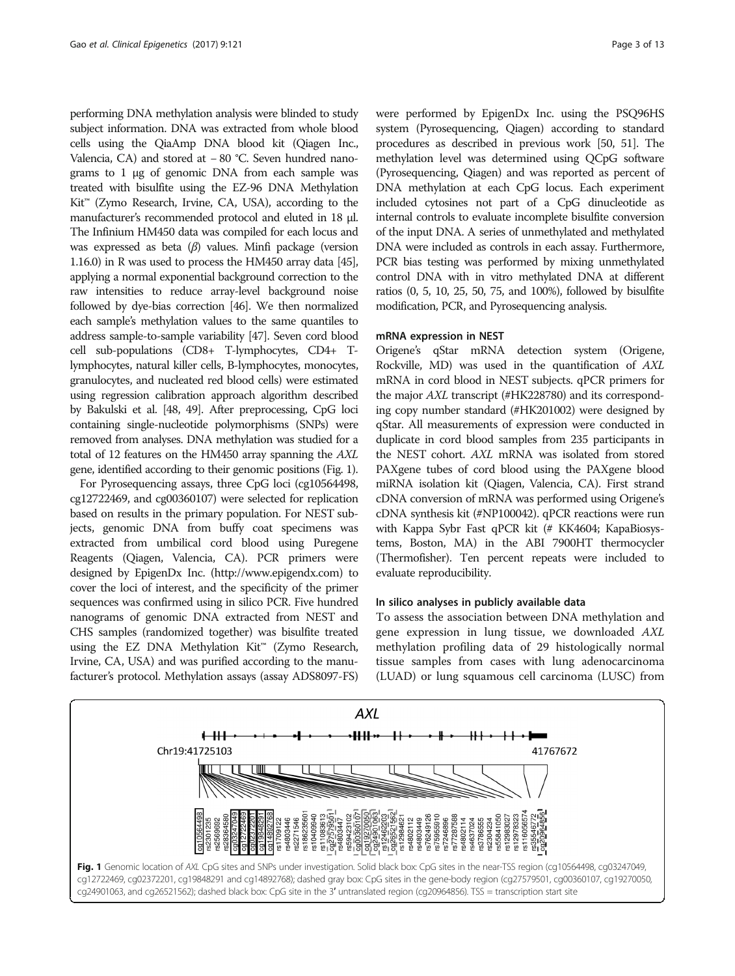<span id="page-2-0"></span>performing DNA methylation analysis were blinded to study subject information. DNA was extracted from whole blood cells using the QiaAmp DNA blood kit (Qiagen Inc., Valencia, CA) and stored at − 80 °C. Seven hundred nanograms to 1 μg of genomic DNA from each sample was treated with bisulfite using the EZ-96 DNA Methylation Kit<sup>™</sup> (Zymo Research, Irvine, CA, USA), according to the manufacturer's recommended protocol and eluted in 18 μl. The Infinium HM450 data was compiled for each locus and was expressed as beta  $(\beta)$  values. Minfi package (version 1.16.0) in R was used to process the HM450 array data [\[45](#page-11-0)], applying a normal exponential background correction to the raw intensities to reduce array-level background noise followed by dye-bias correction [\[46](#page-11-0)]. We then normalized each sample's methylation values to the same quantiles to address sample-to-sample variability [\[47\]](#page-11-0). Seven cord blood cell sub-populations (CD8+ T-lymphocytes, CD4+ Tlymphocytes, natural killer cells, B-lymphocytes, monocytes, granulocytes, and nucleated red blood cells) were estimated using regression calibration approach algorithm described by Bakulski et al. [\[48](#page-11-0), [49](#page-11-0)]. After preprocessing, CpG loci containing single-nucleotide polymorphisms (SNPs) were removed from analyses. DNA methylation was studied for a total of 12 features on the HM450 array spanning the AXL gene, identified according to their genomic positions (Fig. 1).

For Pyrosequencing assays, three CpG loci (cg10564498, cg12722469, and cg00360107) were selected for replication based on results in the primary population. For NEST subjects, genomic DNA from buffy coat specimens was extracted from umbilical cord blood using Puregene Reagents (Qiagen, Valencia, CA). PCR primers were designed by EpigenDx Inc. (<http://www.epigendx.com>) to cover the loci of interest, and the specificity of the primer sequences was confirmed using in silico PCR. Five hundred nanograms of genomic DNA extracted from NEST and CHS samples (randomized together) was bisulfite treated using the EZ DNA Methylation Kit™ (Zymo Research, Irvine, CA, USA) and was purified according to the manufacturer's protocol. Methylation assays (assay ADS8097-FS) were performed by EpigenDx Inc. using the PSQ96HS system (Pyrosequencing, Qiagen) according to standard procedures as described in previous work [\[50](#page-11-0), [51\]](#page-11-0). The methylation level was determined using QCpG software (Pyrosequencing, Qiagen) and was reported as percent of DNA methylation at each CpG locus. Each experiment included cytosines not part of a CpG dinucleotide as internal controls to evaluate incomplete bisulfite conversion of the input DNA. A series of unmethylated and methylated DNA were included as controls in each assay. Furthermore, PCR bias testing was performed by mixing unmethylated control DNA with in vitro methylated DNA at different ratios (0, 5, 10, 25, 50, 75, and 100%), followed by bisulfite modification, PCR, and Pyrosequencing analysis.

# mRNA expression in NEST

Origene's qStar mRNA detection system (Origene, Rockville, MD) was used in the quantification of AXL mRNA in cord blood in NEST subjects. qPCR primers for the major AXL transcript (#HK228780) and its corresponding copy number standard (#HK201002) were designed by qStar. All measurements of expression were conducted in duplicate in cord blood samples from 235 participants in the NEST cohort. AXL mRNA was isolated from stored PAXgene tubes of cord blood using the PAXgene blood miRNA isolation kit (Qiagen, Valencia, CA). First strand cDNA conversion of mRNA was performed using Origene's cDNA synthesis kit (#NP100042). qPCR reactions were run with Kappa Sybr Fast qPCR kit (# KK4604; KapaBiosystems, Boston, MA) in the ABI 7900HT thermocycler (Thermofisher). Ten percent repeats were included to evaluate reproducibility.

### In silico analyses in publicly available data

To assess the association between DNA methylation and gene expression in lung tissue, we downloaded AXL methylation profiling data of 29 histologically normal tissue samples from cases with lung adenocarcinoma (LUAD) or lung squamous cell carcinoma (LUSC) from

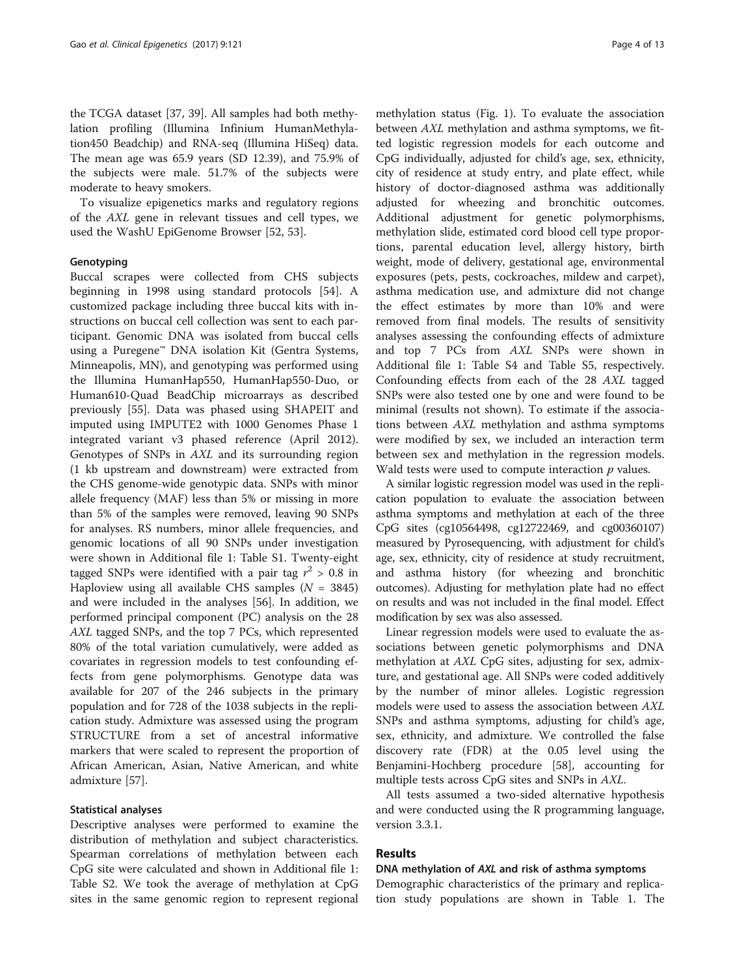the TCGA dataset [\[37](#page-11-0), [39](#page-11-0)]. All samples had both methylation profiling (Illumina Infinium HumanMethylation450 Beadchip) and RNA-seq (Illumina HiSeq) data. The mean age was 65.9 years (SD 12.39), and 75.9% of the subjects were male. 51.7% of the subjects were moderate to heavy smokers.

To visualize epigenetics marks and regulatory regions of the AXL gene in relevant tissues and cell types, we used the WashU EpiGenome Browser [\[52](#page-11-0), [53](#page-11-0)].

### Genotyping

Buccal scrapes were collected from CHS subjects beginning in 1998 using standard protocols [\[54\]](#page-11-0). A customized package including three buccal kits with instructions on buccal cell collection was sent to each participant. Genomic DNA was isolated from buccal cells using a Puregene™ DNA isolation Kit (Gentra Systems, Minneapolis, MN), and genotyping was performed using the Illumina HumanHap550, HumanHap550-Duo, or Human610-Quad BeadChip microarrays as described previously [\[55](#page-11-0)]. Data was phased using SHAPEIT and imputed using IMPUTE2 with 1000 Genomes Phase 1 integrated variant v3 phased reference (April 2012). Genotypes of SNPs in AXL and its surrounding region (1 kb upstream and downstream) were extracted from the CHS genome-wide genotypic data. SNPs with minor allele frequency (MAF) less than 5% or missing in more than 5% of the samples were removed, leaving 90 SNPs for analyses. RS numbers, minor allele frequencies, and genomic locations of all 90 SNPs under investigation were shown in Additional file [1:](#page-10-0) Table S1. Twenty-eight tagged SNPs were identified with a pair tag  $r^2 > 0.8$  in Haploview using all available CHS samples  $(N = 3845)$ and were included in the analyses [[56](#page-11-0)]. In addition, we performed principal component (PC) analysis on the 28 AXL tagged SNPs, and the top 7 PCs, which represented 80% of the total variation cumulatively, were added as covariates in regression models to test confounding effects from gene polymorphisms. Genotype data was available for 207 of the 246 subjects in the primary population and for 728 of the 1038 subjects in the replication study. Admixture was assessed using the program STRUCTURE from a set of ancestral informative markers that were scaled to represent the proportion of African American, Asian, Native American, and white admixture [[57](#page-11-0)].

#### Statistical analyses

Descriptive analyses were performed to examine the distribution of methylation and subject characteristics. Spearman correlations of methylation between each CpG site were calculated and shown in Additional file 1: Table S2. We took the average of methylation at CpG sites in the same genomic region to represent regional

methylation status (Fig. [1\)](#page-2-0). To evaluate the association between AXL methylation and asthma symptoms, we fitted logistic regression models for each outcome and CpG individually, adjusted for child's age, sex, ethnicity, city of residence at study entry, and plate effect, while history of doctor-diagnosed asthma was additionally adjusted for wheezing and bronchitic outcomes. Additional adjustment for genetic polymorphisms, methylation slide, estimated cord blood cell type proportions, parental education level, allergy history, birth weight, mode of delivery, gestational age, environmental exposures (pets, pests, cockroaches, mildew and carpet), asthma medication use, and admixture did not change the effect estimates by more than 10% and were removed from final models. The results of sensitivity analyses assessing the confounding effects of admixture and top 7 PCs from AXL SNPs were shown in Additional file [1](#page-10-0): Table S4 and Table S5, respectively. Confounding effects from each of the 28 AXL tagged SNPs were also tested one by one and were found to be minimal (results not shown). To estimate if the associations between AXL methylation and asthma symptoms were modified by sex, we included an interaction term between sex and methylation in the regression models. Wald tests were used to compute interaction  $p$  values.

A similar logistic regression model was used in the replication population to evaluate the association between asthma symptoms and methylation at each of the three CpG sites (cg10564498, cg12722469, and cg00360107) measured by Pyrosequencing, with adjustment for child's age, sex, ethnicity, city of residence at study recruitment, and asthma history (for wheezing and bronchitic outcomes). Adjusting for methylation plate had no effect on results and was not included in the final model. Effect modification by sex was also assessed.

Linear regression models were used to evaluate the associations between genetic polymorphisms and DNA methylation at AXL CpG sites, adjusting for sex, admixture, and gestational age. All SNPs were coded additively by the number of minor alleles. Logistic regression models were used to assess the association between AXL SNPs and asthma symptoms, adjusting for child's age, sex, ethnicity, and admixture. We controlled the false discovery rate (FDR) at the 0.05 level using the Benjamini-Hochberg procedure [[58](#page-11-0)], accounting for multiple tests across CpG sites and SNPs in AXL.

All tests assumed a two-sided alternative hypothesis and were conducted using the R programming language, version 3.3.1.

# Results

# DNA methylation of AXL and risk of asthma symptoms

Demographic characteristics of the primary and replication study populations are shown in Table [1](#page-4-0). The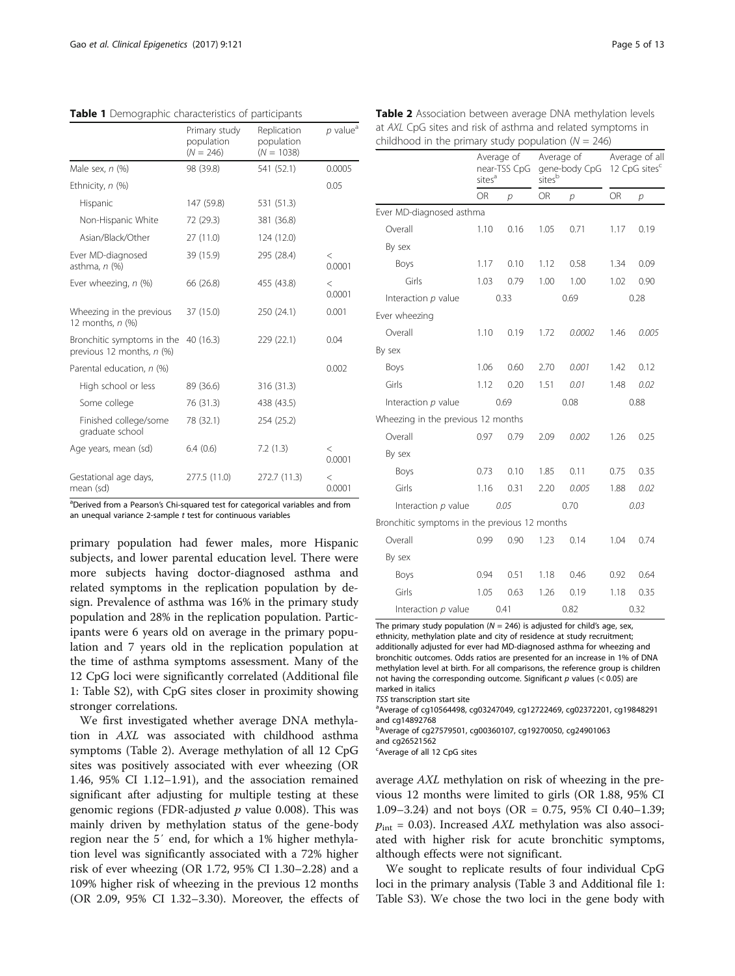|                                                         | Primary study<br>population<br>$(N = 246)$ | Replication<br>population<br>$(N = 1038)$ | $p$ value <sup>a</sup>   |
|---------------------------------------------------------|--------------------------------------------|-------------------------------------------|--------------------------|
| Male sex, $n$ $(\%)$                                    | 98 (39.8)                                  | 541 (52.1)                                | 0.0005                   |
| Ethnicity, n (%)                                        |                                            |                                           | 0.05                     |
| Hispanic                                                | 147 (59.8)                                 | 531 (51.3)                                |                          |
| Non-Hispanic White                                      | 72 (29.3)                                  | 381 (36.8)                                |                          |
| Asian/Black/Other                                       | 27 (11.0)                                  | 124 (12.0)                                |                          |
| Ever MD-diagnosed<br>asthma, $n$ (%)                    | 39 (15.9)                                  | 295 (28.4)                                | $\overline{<}$<br>0.0001 |
| Ever wheezing, n (%)                                    | 66 (26.8)                                  | 455 (43.8)                                | $\,<\,$<br>0.0001        |
| Wheezing in the previous<br>12 months, <i>n</i> (%)     | 37 (15.0)                                  | 250 (24.1)                                | 0.001                    |
| Bronchitic symptoms in the<br>previous 12 months, n (%) | 40 (16.3)                                  | 229 (22.1)                                | 0.04                     |
| Parental education, n (%)                               |                                            |                                           | 0.002                    |
| High school or less                                     | 89 (36.6)                                  | 316 (31.3)                                |                          |
| Some college                                            | 76 (31.3)                                  | 438 (43.5)                                |                          |
| Finished college/some<br>graduate school                | 78 (32.1)                                  | 254 (25.2)                                |                          |
| Age years, mean (sd)                                    | 6.4(0.6)                                   | 7.2(1.3)                                  | $\,<\,$<br>0.0001        |
| Gestational age days,<br>mean (sd)                      | 277.5 (11.0)                               | 272.7 (11.3)                              | $\,<\,$<br>0.0001        |

<span id="page-4-0"></span>Table 1 Demographic characteristics of participants

<sup>a</sup>Derived from a Pearson's Chi-squared test for categorical variables and from an unequal variance 2-sample t test for continuous variables

primary population had fewer males, more Hispanic subjects, and lower parental education level. There were more subjects having doctor-diagnosed asthma and related symptoms in the replication population by design. Prevalence of asthma was 16% in the primary study population and 28% in the replication population. Participants were 6 years old on average in the primary population and 7 years old in the replication population at the time of asthma symptoms assessment. Many of the 12 CpG loci were significantly correlated (Additional file [1:](#page-10-0) Table S2), with CpG sites closer in proximity showing stronger correlations.

We first investigated whether average DNA methylation in AXL was associated with childhood asthma symptoms (Table 2). Average methylation of all 12 CpG sites was positively associated with ever wheezing (OR 1.46, 95% CI 1.12–1.91), and the association remained significant after adjusting for multiple testing at these genomic regions (FDR-adjusted  $p$  value 0.008). This was mainly driven by methylation status of the gene-body region near the 5′ end, for which a 1% higher methylation level was significantly associated with a 72% higher risk of ever wheezing (OR 1.72, 95% CI 1.30–2.28) and a 109% higher risk of wheezing in the previous 12 months (OR 2.09, 95% CI 1.32–3.30). Moreover, the effects of

Table 2 Association between average DNA methylation levels at AXL CpG sites and risk of asthma and related symptoms in childhood in the primary study population ( $N = 246$ )

|                                               | Average of<br>near-TSS CpG<br>sites <sup>a</sup> |      | sitesb    | Average of<br>gene-body CpG |           | Average of all<br>12 CpG sites <sup>c</sup> |  |
|-----------------------------------------------|--------------------------------------------------|------|-----------|-----------------------------|-----------|---------------------------------------------|--|
|                                               | <b>OR</b>                                        | р    | <b>OR</b> | р                           | <b>OR</b> | $\overline{p}$                              |  |
| Ever MD-diagnosed asthma                      |                                                  |      |           |                             |           |                                             |  |
| Overall                                       | 1.10                                             | 0.16 | 1.05      | 0.71                        | 1.17      | 0.19                                        |  |
| By sex                                        |                                                  |      |           |                             |           |                                             |  |
| Boys                                          | 1.17                                             | 0.10 | 1.12      | 0.58                        | 1.34      | 0.09                                        |  |
| Girls                                         | 1.03                                             | 0.79 | 1.00      | 1.00                        | 1.02      | 0.90                                        |  |
| Interaction $p$ value                         |                                                  | 0.33 |           | 0.69                        |           | 0.28                                        |  |
| Ever wheezing                                 |                                                  |      |           |                             |           |                                             |  |
| Overall                                       | 1.10                                             | 0.19 | 1.72      | 0.0002                      | 1.46      | 0.005                                       |  |
| By sex                                        |                                                  |      |           |                             |           |                                             |  |
| <b>Boys</b>                                   | 1.06                                             | 0.60 | 2.70      | 0.001                       | 1.42      | 0.12                                        |  |
| Girls                                         | 1.12                                             | 0.20 | 1.51      | 0.01                        | 1.48      | 0.02                                        |  |
| Interaction $p$ value                         |                                                  | 0.69 |           | 0.08                        | 0.88      |                                             |  |
| Wheezing in the previous 12 months            |                                                  |      |           |                             |           |                                             |  |
| Overall                                       | 0.97                                             | 0.79 | 2.09      | 0.002                       | 1.26      | 0.25                                        |  |
| By sex                                        |                                                  |      |           |                             |           |                                             |  |
| Boys                                          | 0.73                                             | 0.10 | 1.85      | 0.11                        | 0.75      | 0.35                                        |  |
| Girls                                         | 1.16                                             | 0.31 | 2.20      | 0.005                       | 1.88      | 0.02                                        |  |
| Interaction $p$ value                         |                                                  | 0.05 |           | 0.70                        |           | 0.03                                        |  |
| Bronchitic symptoms in the previous 12 months |                                                  |      |           |                             |           |                                             |  |
| Overall                                       | 0.99                                             | 0.90 | 1.23      | 0.14                        | 1.04      | 0.74                                        |  |
| By sex                                        |                                                  |      |           |                             |           |                                             |  |
| Boys                                          | 0.94                                             | 0.51 | 1.18      | 0.46                        | 0.92      | 0.64                                        |  |
| Girls                                         | 1.05                                             | 0.63 | 1.26      | 0.19                        | 1.18      | 0.35                                        |  |
| Interaction $p$ value                         |                                                  | 0.41 |           | 0.82                        | 0.32      |                                             |  |

The primary study population ( $N = 246$ ) is adjusted for child's age, sex, ethnicity, methylation plate and city of residence at study recruitment; additionally adjusted for ever had MD-diagnosed asthma for wheezing and bronchitic outcomes. Odds ratios are presented for an increase in 1% of DNA methylation level at birth. For all comparisons, the reference group is children not having the corresponding outcome. Significant  $p$  values (< 0.05) are marked in italics

TSS transcription start site

Average of cg10564498, cg03247049, cg12722469, cg02372201, cg19848291 and cg14892768

b Average of cg27579501, cg00360107, cg19270050, cg24901063

and cg26521562

<sup>c</sup> Average of all 12 CpG sites

average AXL methylation on risk of wheezing in the previous 12 months were limited to girls (OR 1.88, 95% CI 1.09–3.24) and not boys (OR = 0.75, 95% CI 0.40–1.39;  $p_{\text{int}} = 0.03$ ). Increased AXL methylation was also associated with higher risk for acute bronchitic symptoms, although effects were not significant.

We sought to replicate results of four individual CpG loci in the primary analysis (Table [3](#page-5-0) and Additional file [1](#page-10-0): Table S3). We chose the two loci in the gene body with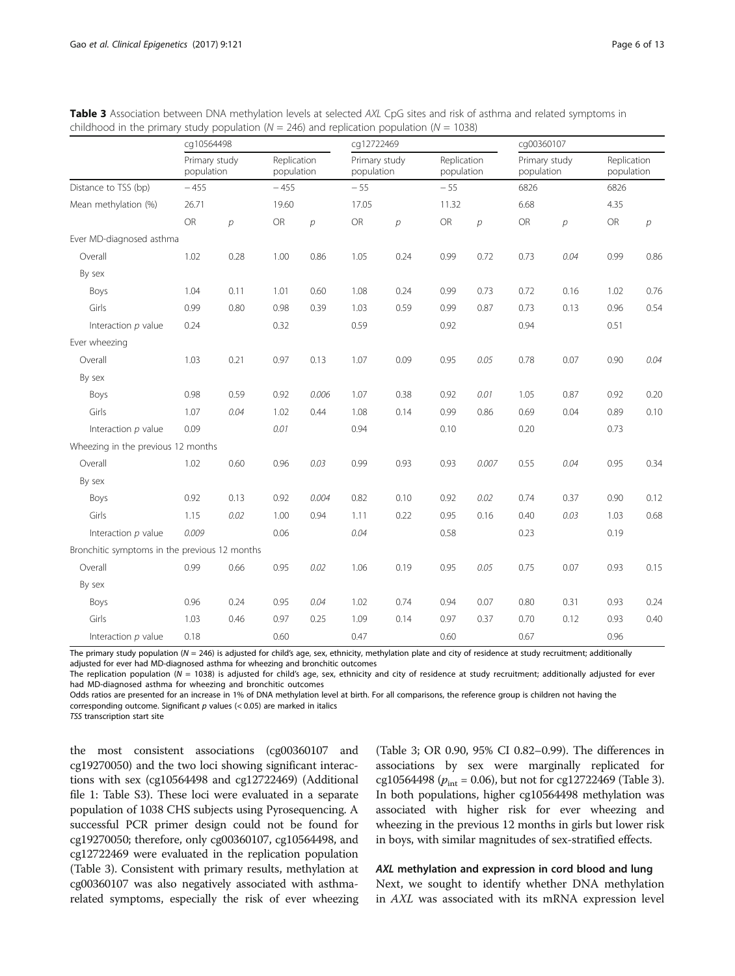| childhood in the primary study population ( $N = 246$ ) and replication population ( $N = 1038$ ) |                                       |      |            |                                     |            |                                      |            |                                    |            |                                     |            |                                   |  |
|---------------------------------------------------------------------------------------------------|---------------------------------------|------|------------|-------------------------------------|------------|--------------------------------------|------------|------------------------------------|------------|-------------------------------------|------------|-----------------------------------|--|
|                                                                                                   | cq10564498                            |      |            |                                     |            | cq12722469                           |            |                                    |            | cg00360107                          |            |                                   |  |
|                                                                                                   | Primary study<br>population<br>$-455$ |      |            | Replication<br>population<br>$-455$ |            | Primary study<br>population<br>$-55$ |            | Replication<br>population<br>$-55$ |            | Primary study<br>population<br>6826 |            | Replication<br>population<br>6826 |  |
| Distance to TSS (bp)                                                                              |                                       |      |            |                                     |            |                                      |            |                                    |            |                                     |            |                                   |  |
| Mean methylation (%)                                                                              | 26.71                                 |      | 19.60      |                                     | 17.05      |                                      |            | 11.32                              |            | 6.68                                |            | 4.35                              |  |
|                                                                                                   | ${\sf OR}$                            | р    | ${\sf OR}$ | $\overline{p}$                      | ${\sf OR}$ | $\overline{p}$                       | ${\sf OR}$ | р                                  | ${\sf OR}$ | р                                   | ${\sf OR}$ | р                                 |  |
| Ever MD-diagnosed asthma                                                                          |                                       |      |            |                                     |            |                                      |            |                                    |            |                                     |            |                                   |  |
| Overall                                                                                           | 1.02                                  | 0.28 | 1.00       | 0.86                                | 1.05       | 0.24                                 | 0.99       | 0.72                               | 0.73       | 0.04                                | 0.99       | 0.86                              |  |
| By sex                                                                                            |                                       |      |            |                                     |            |                                      |            |                                    |            |                                     |            |                                   |  |
| Boys                                                                                              | 1.04                                  | 0.11 | 1.01       | 0.60                                | 1.08       | 0.24                                 | 0.99       | 0.73                               | 0.72       | 0.16                                | 1.02       | 0.76                              |  |
| Girls                                                                                             | 0.99                                  | 0.80 | 0.98       | 0.39                                | 1.03       | 0.59                                 | 0.99       | 0.87                               | 0.73       | 0.13                                | 0.96       | 0.54                              |  |
| Interaction $p$ value                                                                             | 0.24                                  |      | 0.32       |                                     | 0.59       |                                      | 0.92       |                                    | 0.94       |                                     | 0.51       |                                   |  |
| Ever wheezing                                                                                     |                                       |      |            |                                     |            |                                      |            |                                    |            |                                     |            |                                   |  |
| Overall                                                                                           | 1.03                                  | 0.21 | 0.97       | 0.13                                | 1.07       | 0.09                                 | 0.95       | 0.05                               | 0.78       | 0.07                                | 0.90       | 0.04                              |  |
| By sex                                                                                            |                                       |      |            |                                     |            |                                      |            |                                    |            |                                     |            |                                   |  |
| Boys                                                                                              | 0.98                                  | 0.59 | 0.92       | 0.006                               | 1.07       | 0.38                                 | 0.92       | 0.01                               | 1.05       | 0.87                                | 0.92       | 0.20                              |  |
| Girls                                                                                             | 1.07                                  | 0.04 | 1.02       | 0.44                                | 1.08       | 0.14                                 | 0.99       | 0.86                               | 0.69       | 0.04                                | 0.89       | 0.10                              |  |
| Interaction $p$ value                                                                             | 0.09                                  |      | 0.01       |                                     | 0.94       |                                      | 0.10       |                                    | 0.20       |                                     | 0.73       |                                   |  |
| Wheezing in the previous 12 months                                                                |                                       |      |            |                                     |            |                                      |            |                                    |            |                                     |            |                                   |  |
| Overall                                                                                           | 1.02                                  | 0.60 | 0.96       | 0.03                                | 0.99       | 0.93                                 | 0.93       | 0.007                              | 0.55       | 0.04                                | 0.95       | 0.34                              |  |
| By sex                                                                                            |                                       |      |            |                                     |            |                                      |            |                                    |            |                                     |            |                                   |  |
| Boys                                                                                              | 0.92                                  | 0.13 | 0.92       | 0.004                               | 0.82       | 0.10                                 | 0.92       | 0.02                               | 0.74       | 0.37                                | 0.90       | 0.12                              |  |
| Girls                                                                                             | 1.15                                  | 0.02 | 1.00       | 0.94                                | 1.11       | 0.22                                 | 0.95       | 0.16                               | 0.40       | 0.03                                | 1.03       | 0.68                              |  |
| Interaction $p$ value                                                                             | 0.009                                 |      | 0.06       |                                     | 0.04       |                                      | 0.58       |                                    | 0.23       |                                     | 0.19       |                                   |  |
| Bronchitic symptoms in the previous 12 months                                                     |                                       |      |            |                                     |            |                                      |            |                                    |            |                                     |            |                                   |  |
| Overall                                                                                           | 0.99                                  | 0.66 | 0.95       | 0.02                                | 1.06       | 0.19                                 | 0.95       | 0.05                               | 0.75       | 0.07                                | 0.93       | 0.15                              |  |
| By sex                                                                                            |                                       |      |            |                                     |            |                                      |            |                                    |            |                                     |            |                                   |  |
| Boys                                                                                              | 0.96                                  | 0.24 | 0.95       | 0.04                                | 1.02       | 0.74                                 | 0.94       | 0.07                               | 0.80       | 0.31                                | 0.93       | 0.24                              |  |
| Girls                                                                                             | 1.03                                  | 0.46 | 0.97       | 0.25                                | 1.09       | 0.14                                 | 0.97       | 0.37                               | 0.70       | 0.12                                | 0.93       | 0.40                              |  |
| Interaction p value                                                                               | 0.18                                  |      | 0.60       |                                     | 0.47       |                                      | 0.60       |                                    | 0.67       |                                     | 0.96       |                                   |  |

<span id="page-5-0"></span>Table 3 Association between DNA methylation levels at selected AXL CpG sites and risk of asthma and related symptoms in

The primary study population  $(N = 246)$  is adjusted for child's age, sex, ethnicity, methylation plate and city of residence at study recruitment; additionally adjusted for ever had MD-diagnosed asthma for wheezing and bronchitic outcomes

The replication population (N = 1038) is adjusted for child's age, sex, ethnicity and city of residence at study recruitment; additionally adjusted for ever had MD-diagnosed asthma for wheezing and bronchitic outcomes

Odds ratios are presented for an increase in 1% of DNA methylation level at birth. For all comparisons, the reference group is children not having the corresponding outcome. Significant  $p$  values (< 0.05) are marked in italics

TSS transcription start site

the most consistent associations (cg00360107 and cg19270050) and the two loci showing significant interactions with sex (cg10564498 and cg12722469) (Additional file [1](#page-10-0): Table S3). These loci were evaluated in a separate population of 1038 CHS subjects using Pyrosequencing. A successful PCR primer design could not be found for cg19270050; therefore, only cg00360107, cg10564498, and cg12722469 were evaluated in the replication population (Table 3). Consistent with primary results, methylation at cg00360107 was also negatively associated with asthmarelated symptoms, especially the risk of ever wheezing (Table 3; OR 0.90, 95% CI 0.82–0.99). The differences in associations by sex were marginally replicated for cg10564498 ( $p_{\text{int}}$  = 0.06), but not for cg12722469 (Table 3). In both populations, higher cg10564498 methylation was associated with higher risk for ever wheezing and wheezing in the previous 12 months in girls but lower risk in boys, with similar magnitudes of sex-stratified effects.

### AXL methylation and expression in cord blood and lung

Next, we sought to identify whether DNA methylation in AXL was associated with its mRNA expression level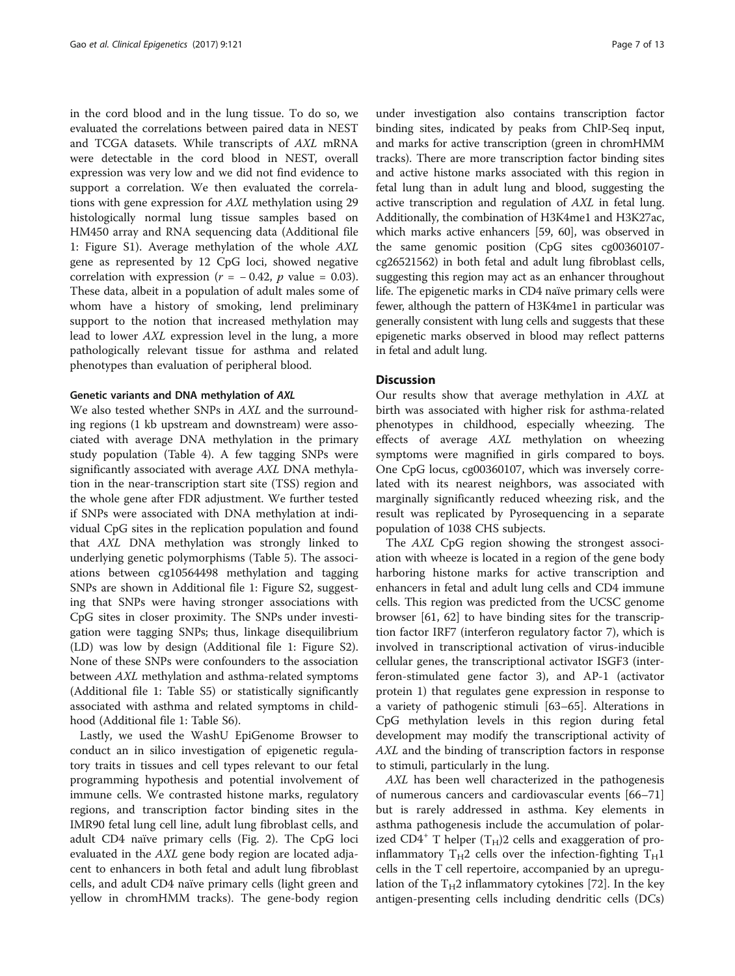in the cord blood and in the lung tissue. To do so, we evaluated the correlations between paired data in NEST and TCGA datasets. While transcripts of AXL mRNA were detectable in the cord blood in NEST, overall expression was very low and we did not find evidence to support a correlation. We then evaluated the correlations with gene expression for AXL methylation using 29 histologically normal lung tissue samples based on HM450 array and RNA sequencing data (Additional file [1:](#page-10-0) Figure S1). Average methylation of the whole AXL gene as represented by 12 CpG loci, showed negative correlation with expression ( $r = -0.42$ ,  $p$  value = 0.03). These data, albeit in a population of adult males some of whom have a history of smoking, lend preliminary support to the notion that increased methylation may lead to lower AXL expression level in the lung, a more pathologically relevant tissue for asthma and related phenotypes than evaluation of peripheral blood.

#### Genetic variants and DNA methylation of AXL

We also tested whether SNPs in AXL and the surrounding regions (1 kb upstream and downstream) were associated with average DNA methylation in the primary study population (Table [4](#page-7-0)). A few tagging SNPs were significantly associated with average AXL DNA methylation in the near-transcription start site (TSS) region and the whole gene after FDR adjustment. We further tested if SNPs were associated with DNA methylation at individual CpG sites in the replication population and found that AXL DNA methylation was strongly linked to underlying genetic polymorphisms (Table [5](#page-8-0)). The associations between cg10564498 methylation and tagging SNPs are shown in Additional file [1:](#page-10-0) Figure S2, suggesting that SNPs were having stronger associations with CpG sites in closer proximity. The SNPs under investigation were tagging SNPs; thus, linkage disequilibrium (LD) was low by design (Additional file [1:](#page-10-0) Figure S2). None of these SNPs were confounders to the association between AXL methylation and asthma-related symptoms (Additional file [1](#page-10-0): Table S5) or statistically significantly associated with asthma and related symptoms in childhood (Additional file [1:](#page-10-0) Table S6).

Lastly, we used the WashU EpiGenome Browser to conduct an in silico investigation of epigenetic regulatory traits in tissues and cell types relevant to our fetal programming hypothesis and potential involvement of immune cells. We contrasted histone marks, regulatory regions, and transcription factor binding sites in the IMR90 fetal lung cell line, adult lung fibroblast cells, and adult CD4 naïve primary cells (Fig. [2](#page-9-0)). The CpG loci evaluated in the AXL gene body region are located adjacent to enhancers in both fetal and adult lung fibroblast cells, and adult CD4 naïve primary cells (light green and yellow in chromHMM tracks). The gene-body region

under investigation also contains transcription factor binding sites, indicated by peaks from ChIP-Seq input, and marks for active transcription (green in chromHMM tracks). There are more transcription factor binding sites and active histone marks associated with this region in fetal lung than in adult lung and blood, suggesting the active transcription and regulation of AXL in fetal lung. Additionally, the combination of H3K4me1 and H3K27ac, which marks active enhancers [[59](#page-11-0), [60](#page-11-0)], was observed in the same genomic position (CpG sites cg00360107 cg26521562) in both fetal and adult lung fibroblast cells, suggesting this region may act as an enhancer throughout life. The epigenetic marks in CD4 naïve primary cells were fewer, although the pattern of H3K4me1 in particular was generally consistent with lung cells and suggests that these epigenetic marks observed in blood may reflect patterns in fetal and adult lung.

### **Discussion**

Our results show that average methylation in AXL at birth was associated with higher risk for asthma-related phenotypes in childhood, especially wheezing. The effects of average AXL methylation on wheezing symptoms were magnified in girls compared to boys. One CpG locus, cg00360107, which was inversely correlated with its nearest neighbors, was associated with marginally significantly reduced wheezing risk, and the result was replicated by Pyrosequencing in a separate population of 1038 CHS subjects.

The AXL CpG region showing the strongest association with wheeze is located in a region of the gene body harboring histone marks for active transcription and enhancers in fetal and adult lung cells and CD4 immune cells. This region was predicted from the UCSC genome browser [\[61](#page-11-0), [62\]](#page-11-0) to have binding sites for the transcription factor IRF7 (interferon regulatory factor 7), which is involved in transcriptional activation of virus-inducible cellular genes, the transcriptional activator ISGF3 (interferon-stimulated gene factor 3), and AP-1 (activator protein 1) that regulates gene expression in response to a variety of pathogenic stimuli [[63](#page-11-0)–[65](#page-11-0)]. Alterations in CpG methylation levels in this region during fetal development may modify the transcriptional activity of AXL and the binding of transcription factors in response to stimuli, particularly in the lung.

AXL has been well characterized in the pathogenesis of numerous cancers and cardiovascular events [[66](#page-11-0)–[71](#page-12-0)] but is rarely addressed in asthma. Key elements in asthma pathogenesis include the accumulation of polarized CD4<sup>+</sup> T helper  $(T_H)$ 2 cells and exaggeration of proinflammatory  $T_H2$  cells over the infection-fighting  $T_H1$ cells in the T cell repertoire, accompanied by an upregulation of the  $T_H2$  inflammatory cytokines [\[72](#page-12-0)]. In the key antigen-presenting cells including dendritic cells (DCs)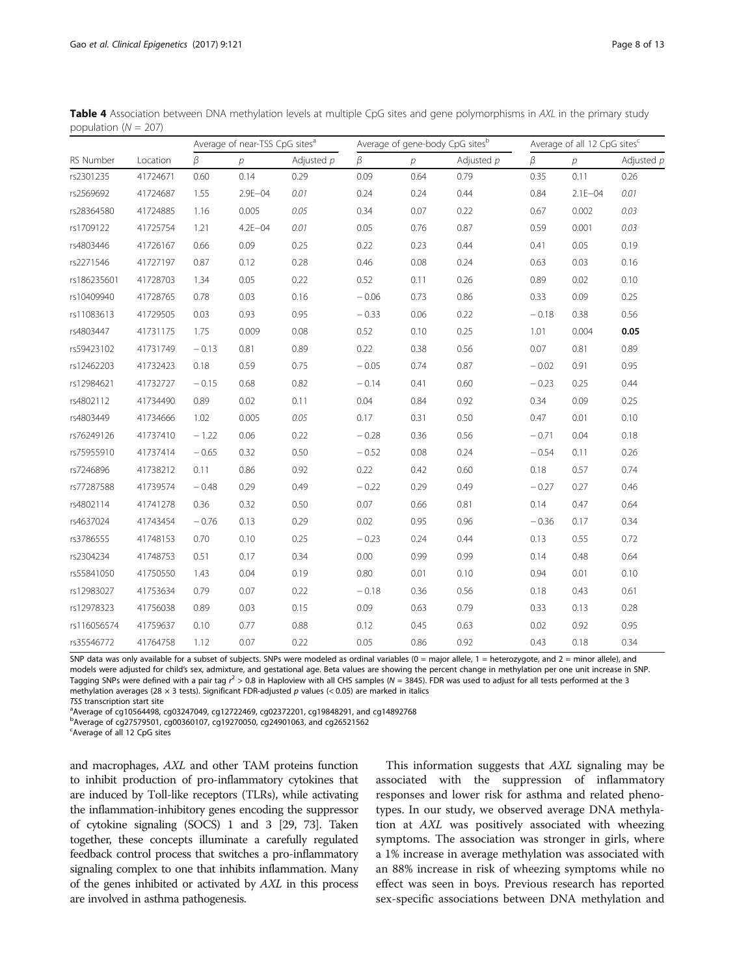|             |          |         | Average of near-TSS CpG sites <sup>a</sup> |            |         |                | Average of gene-body CpG sitesb | Average of all 12 CpG sites <sup>c</sup> |                |            |
|-------------|----------|---------|--------------------------------------------|------------|---------|----------------|---------------------------------|------------------------------------------|----------------|------------|
| RS Number   | Location | β       | $\overline{p}$                             | Adjusted p | $\beta$ | $\overline{p}$ | Adjusted $p$                    | $\beta$                                  | $\overline{p}$ | Adjusted p |
| rs2301235   | 41724671 | 0.60    | 0.14                                       | 0.29       | 0.09    | 0.64           | 0.79                            | 0.35                                     | 0.11           | 0.26       |
| rs2569692   | 41724687 | 1.55    | $2.9E - 04$                                | 0.01       | 0.24    | 0.24           | 0.44                            | 0.84                                     | $2.1E - 04$    | 0.01       |
| rs28364580  | 41724885 | 1.16    | 0.005                                      | 0.05       | 0.34    | 0.07           | 0.22                            | 0.67                                     | 0.002          | 0.03       |
| rs1709122   | 41725754 | 1.21    | $4.2E - 04$                                | 0.01       | 0.05    | 0.76           | 0.87                            | 0.59                                     | 0.001          | 0.03       |
| rs4803446   | 41726167 | 0.66    | 0.09                                       | 0.25       | 0.22    | 0.23           | 0.44                            | 0.41                                     | 0.05           | 0.19       |
| rs2271546   | 41727197 | 0.87    | 0.12                                       | 0.28       | 0.46    | 0.08           | 0.24                            | 0.63                                     | 0.03           | 0.16       |
| rs186235601 | 41728703 | 1.34    | 0.05                                       | 0.22       | 0.52    | 0.11           | 0.26                            | 0.89                                     | 0.02           | 0.10       |
| rs10409940  | 41728765 | 0.78    | 0.03                                       | 0.16       | $-0.06$ | 0.73           | 0.86                            | 0.33                                     | 0.09           | 0.25       |
| rs11083613  | 41729505 | 0.03    | 0.93                                       | 0.95       | $-0.33$ | 0.06           | 0.22                            | $-0.18$                                  | 0.38           | 0.56       |
| rs4803447   | 41731175 | 1.75    | 0.009                                      | 0.08       | 0.52    | 0.10           | 0.25                            | 1.01                                     | 0.004          | 0.05       |
| rs59423102  | 41731749 | $-0.13$ | 0.81                                       | 0.89       | 0.22    | 0.38           | 0.56                            | 0.07                                     | 0.81           | 0.89       |
| rs12462203  | 41732423 | 0.18    | 0.59                                       | 0.75       | $-0.05$ | 0.74           | 0.87                            | $-0.02$                                  | 0.91           | 0.95       |
| rs12984621  | 41732727 | $-0.15$ | 0.68                                       | 0.82       | $-0.14$ | 0.41           | 0.60                            | $-0.23$                                  | 0.25           | 0.44       |
| rs4802112   | 41734490 | 0.89    | 0.02                                       | 0.11       | 0.04    | 0.84           | 0.92                            | 0.34                                     | 0.09           | 0.25       |
| rs4803449   | 41734666 | 1.02    | 0.005                                      | 0.05       | 0.17    | 0.31           | 0.50                            | 0.47                                     | 0.01           | 0.10       |
| rs76249126  | 41737410 | $-1.22$ | 0.06                                       | 0.22       | $-0.28$ | 0.36           | 0.56                            | $-0.71$                                  | 0.04           | 0.18       |
| rs75955910  | 41737414 | $-0.65$ | 0.32                                       | 0.50       | $-0.52$ | 0.08           | 0.24                            | $-0.54$                                  | 0.11           | 0.26       |
| rs7246896   | 41738212 | 0.11    | 0.86                                       | 0.92       | 0.22    | 0.42           | 0.60                            | 0.18                                     | 0.57           | 0.74       |
| rs77287588  | 41739574 | $-0.48$ | 0.29                                       | 0.49       | $-0.22$ | 0.29           | 0.49                            | $-0.27$                                  | 0.27           | 0.46       |
| rs4802114   | 41741278 | 0.36    | 0.32                                       | 0.50       | 0.07    | 0.66           | 0.81                            | 0.14                                     | 0.47           | 0.64       |
| rs4637024   | 41743454 | $-0.76$ | 0.13                                       | 0.29       | 0.02    | 0.95           | 0.96                            | $-0.36$                                  | 0.17           | 0.34       |
| rs3786555   | 41748153 | 0.70    | 0.10                                       | 0.25       | $-0.23$ | 0.24           | 0.44                            | 0.13                                     | 0.55           | 0.72       |
| rs2304234   | 41748753 | 0.51    | 0.17                                       | 0.34       | 0.00    | 0.99           | 0.99                            | 0.14                                     | 0.48           | 0.64       |
| rs55841050  | 41750550 | 1.43    | 0.04                                       | 0.19       | 0.80    | 0.01           | 0.10                            | 0.94                                     | 0.01           | 0.10       |
| rs12983027  | 41753634 | 0.79    | 0.07                                       | 0.22       | $-0.18$ | 0.36           | 0.56                            | 0.18                                     | 0.43           | 0.61       |
| rs12978323  | 41756038 | 0.89    | 0.03                                       | 0.15       | 0.09    | 0.63           | 0.79                            | 0.33                                     | 0.13           | 0.28       |
| rs116056574 | 41759637 | 0.10    | 0.77                                       | 0.88       | 0.12    | 0.45           | 0.63                            | 0.02                                     | 0.92           | 0.95       |
| rs35546772  | 41764758 | 1.12    | 0.07                                       | 0.22       | 0.05    | 0.86           | 0.92                            | 0.43                                     | 0.18           | 0.34       |

<span id="page-7-0"></span>Table 4 Association between DNA methylation levels at multiple CpG sites and gene polymorphisms in AXL in the primary study population  $(N = 207)$ 

SNP data was only available for a subset of subjects. SNPs were modeled as ordinal variables (0 = major allele, 1 = heterozygote, and 2 = minor allele), and models were adjusted for child's sex, admixture, and gestational age. Beta values are showing the percent change in methylation per one unit increase in SNP. Tagging SNPs were defined with a pair tag  $r^2 > 0.8$  in Haploview with all CHS samples (N = 3845). FDR was used to adjust for all tests performed at the 3<br>methylation averages (28 × 3 tests). Significant EDR-adjusted n va methylation averages (28  $\times$  3 tests). Significant FDR-adjusted p values (< 0.05) are marked in italics

TSS transcription start site

Average of cg10564498, cg03247049, cg12722469, cg02372201, cg19848291, and cg14892768

<sup>b</sup>Average of cg27579501, cg00360107, cg19270050, cg24901063, and cg26521562

<sup>c</sup>Average of all 12 CpG sites

and macrophages, AXL and other TAM proteins function to inhibit production of pro-inflammatory cytokines that are induced by Toll-like receptors (TLRs), while activating the inflammation-inhibitory genes encoding the suppressor of cytokine signaling (SOCS) 1 and 3 [\[29,](#page-11-0) [73\]](#page-12-0). Taken together, these concepts illuminate a carefully regulated feedback control process that switches a pro-inflammatory signaling complex to one that inhibits inflammation. Many of the genes inhibited or activated by AXL in this process are involved in asthma pathogenesis.

This information suggests that AXL signaling may be associated with the suppression of inflammatory responses and lower risk for asthma and related phenotypes. In our study, we observed average DNA methylation at AXL was positively associated with wheezing symptoms. The association was stronger in girls, where a 1% increase in average methylation was associated with an 88% increase in risk of wheezing symptoms while no effect was seen in boys. Previous research has reported sex-specific associations between DNA methylation and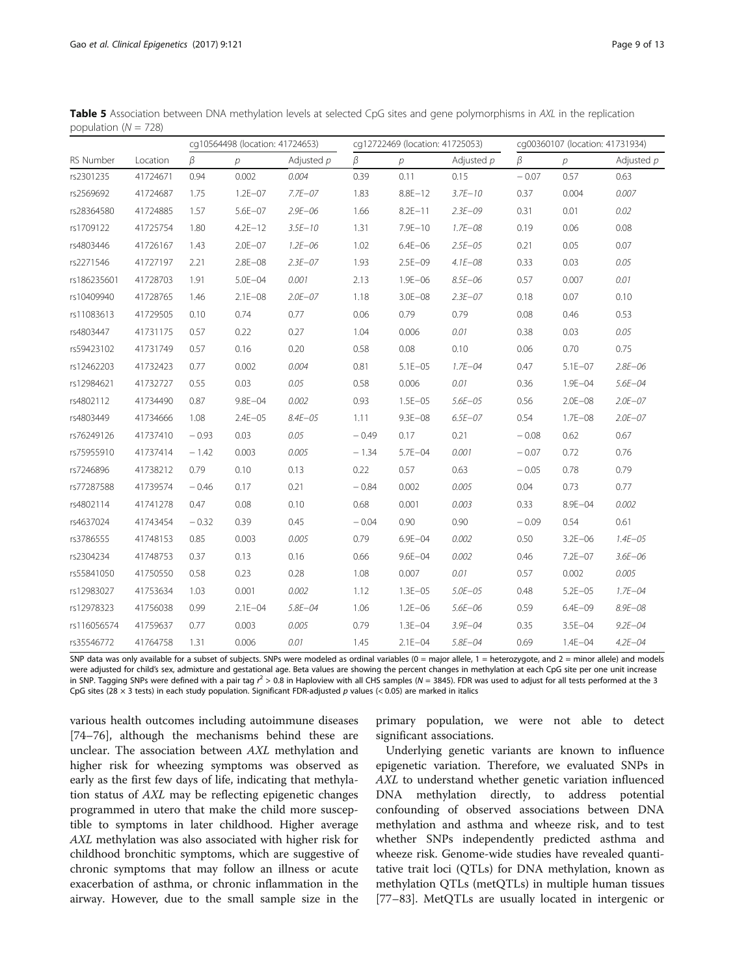SNP data was only available for a subset of subjects. SNPs were modeled as ordinal variables (0 = major allele, 1 = heterozygote, and 2 = minor allele) and models were adjusted for child's sex, admixture and gestational age. Beta values are showing the percent changes in methylation at each CpG site per one unit increase in SNP. Tagging SNPs were defined with a pair tag  $r^2 > 0.8$  in Haploview with all CHS samples (N = 3845). FDR was used to adjust for all tests performed at the 3<br>CDG sites (28 x 3 tests) in each study population. Signifi CpG sites (28  $\times$  3 tests) in each study population. Significant FDR-adjusted p values (< 0.05) are marked in italics

various health outcomes including autoimmune diseases [[74](#page-12-0)–[76](#page-12-0)], although the mechanisms behind these are unclear. The association between AXL methylation and higher risk for wheezing symptoms was observed as early as the first few days of life, indicating that methylation status of AXL may be reflecting epigenetic changes programmed in utero that make the child more susceptible to symptoms in later childhood. Higher average AXL methylation was also associated with higher risk for childhood bronchitic symptoms, which are suggestive of chronic symptoms that may follow an illness or acute exacerbation of asthma, or chronic inflammation in the airway. However, due to the small sample size in the

primary population, we were not able to detect significant associations.

Underlying genetic variants are known to influence epigenetic variation. Therefore, we evaluated SNPs in AXL to understand whether genetic variation influenced DNA methylation directly, to address potential confounding of observed associations between DNA methylation and asthma and wheeze risk, and to test whether SNPs independently predicted asthma and wheeze risk. Genome-wide studies have revealed quantitative trait loci (QTLs) for DNA methylation, known as methylation QTLs (metQTLs) in multiple human tissues [[77](#page-12-0)–[83](#page-12-0)]. MetQTLs are usually located in intergenic or

<span id="page-8-0"></span>Table 5 Association between DNA methylation levels at selected CpG sites and gene polymorphisms in AXL in the replication population  $(N = 728)$ 

|             |          | cq10564498 (location: 41724653) |               |             |         | cq12722469 (location: 41725053) |             | cq00360107 (location: 41731934) |                |             |
|-------------|----------|---------------------------------|---------------|-------------|---------|---------------------------------|-------------|---------------------------------|----------------|-------------|
| RS Number   | Location | β                               | $\mathcal{P}$ | Adjusted p  | β       | $\overline{p}$                  | Adjusted p  | $\beta$                         | $\overline{p}$ | Adjusted p  |
| rs2301235   | 41724671 | 0.94                            | 0.002         | 0.004       | 0.39    | 0.11                            | 0.15        | $-0.07$                         | 0.57           | 0.63        |
| rs2569692   | 41724687 | 1.75                            | $1.2E - 07$   | $7.7E - 07$ | 1.83    | $8.8E - 12$                     | $3.7E - 10$ | 0.37                            | 0.004          | 0.007       |
| rs28364580  | 41724885 | 1.57                            | $5.6E - 07$   | $2.9E - 06$ | 1.66    | $8.2E - 11$                     | $2.3E - 09$ | 0.31                            | 0.01           | 0.02        |
| rs1709122   | 41725754 | 1.80                            | $4.2E - 12$   | $3.5E - 10$ | 1.31    | $7.9E - 10$                     | $1.7E - 08$ | 0.19                            | 0.06           | 0.08        |
| rs4803446   | 41726167 | 1.43                            | $2.0E - 07$   | $1.2E - 06$ | 1.02    | $6.4E - 06$                     | $2.5E - 05$ | 0.21                            | 0.05           | 0.07        |
| rs2271546   | 41727197 | 2.21                            | $2.8E - 08$   | $2.3E - 07$ | 1.93    | $2.5E - 09$                     | $4.1E - 08$ | 0.33                            | 0.03           | 0.05        |
| rs186235601 | 41728703 | 1.91                            | $5.0E - 04$   | 0.001       | 2.13    | $1.9E - 06$                     | $8.5E - 06$ | 0.57                            | 0.007          | 0.01        |
| rs10409940  | 41728765 | 1.46                            | $2.1E - 08$   | $2.0E - 07$ | 1.18    | $3.0E - 08$                     | $2.3E - 07$ | 0.18                            | 0.07           | 0.10        |
| rs11083613  | 41729505 | 0.10                            | 0.74          | 0.77        | 0.06    | 0.79                            | 0.79        | 0.08                            | 0.46           | 0.53        |
| rs4803447   | 41731175 | 0.57                            | 0.22          | 0.27        | 1.04    | 0.006                           | 0.01        | 0.38                            | 0.03           | 0.05        |
| rs59423102  | 41731749 | 0.57                            | 0.16          | 0.20        | 0.58    | 0.08                            | 0.10        | 0.06                            | 0.70           | 0.75        |
| rs12462203  | 41732423 | 0.77                            | 0.002         | 0.004       | 0.81    | $5.1E - 05$                     | $1.7E - 04$ | 0.47                            | $5.1E - 07$    | $2.8E - 06$ |
| rs12984621  | 41732727 | 0.55                            | 0.03          | 0.05        | 0.58    | 0.006                           | 0.01        | 0.36                            | $1.9E - 04$    | $5.6E - 04$ |
| rs4802112   | 41734490 | 0.87                            | $9.8E - 04$   | 0.002       | 0.93    | $1.5E - 05$                     | $5.6E - 05$ | 0.56                            | $2.0E - 08$    | $2.0E - 07$ |
| rs4803449   | 41734666 | 1.08                            | $2.4E - 05$   | $8.4E - 05$ | 1.11    | $9.3E - 08$                     | $6.5E - 07$ | 0.54                            | $1.7E - 08$    | $2.0E - 07$ |
| rs76249126  | 41737410 | $-0.93$                         | 0.03          | 0.05        | $-0.49$ | 0.17                            | 0.21        | $-0.08$                         | 0.62           | 0.67        |
| rs75955910  | 41737414 | $-1.42$                         | 0.003         | 0.005       | $-1.34$ | $5.7E - 04$                     | 0.001       | $-0.07$                         | 0.72           | 0.76        |
| rs7246896   | 41738212 | 0.79                            | 0.10          | 0.13        | 0.22    | 0.57                            | 0.63        | $-0.05$                         | 0.78           | 0.79        |
| rs77287588  | 41739574 | $-0.46$                         | 0.17          | 0.21        | $-0.84$ | 0.002                           | 0.005       | 0.04                            | 0.73           | 0.77        |
| rs4802114   | 41741278 | 0.47                            | 0.08          | 0.10        | 0.68    | 0.001                           | 0.003       | 0.33                            | 8.9E-04        | 0.002       |
| rs4637024   | 41743454 | $-0.32$                         | 0.39          | 0.45        | $-0.04$ | 0.90                            | 0.90        | $-0.09$                         | 0.54           | 0.61        |
| rs3786555   | 41748153 | 0.85                            | 0.003         | 0.005       | 0.79    | $6.9E - 04$                     | 0.002       | 0.50                            | $3.2E - 06$    | $1.4E - 05$ |
| rs2304234   | 41748753 | 0.37                            | 0.13          | 0.16        | 0.66    | $9.6E - 04$                     | 0.002       | 0.46                            | $7.2E - 07$    | $3.6E - 06$ |
| rs55841050  | 41750550 | 0.58                            | 0.23          | 0.28        | 1.08    | 0.007                           | 0.01        | 0.57                            | 0.002          | 0.005       |
| rs12983027  | 41753634 | 1.03                            | 0.001         | 0.002       | 1.12    | $1.3E - 05$                     | $5.0E - 05$ | 0.48                            | $5.2E - 05$    | $1.7E - 04$ |
| rs12978323  | 41756038 | 0.99                            | $2.1E - 04$   | $5.8E - 04$ | 1.06    | $1.2E - 06$                     | $5.6E - 06$ | 0.59                            | $6.4E - 09$    | $8.9E - 08$ |
| rs116056574 | 41759637 | 0.77                            | 0.003         | 0.005       | 0.79    | $1.3E - 04$                     | $3.9E - 04$ | 0.35                            | $3.5E - 04$    | $9.2E - 04$ |
| rs35546772  | 41764758 | 1.31                            | 0.006         | 0.01        | 1.45    | $2.1E - 04$                     | $5.8E - 04$ | 0.69                            | $1.4E - 04$    | $4.2E - 04$ |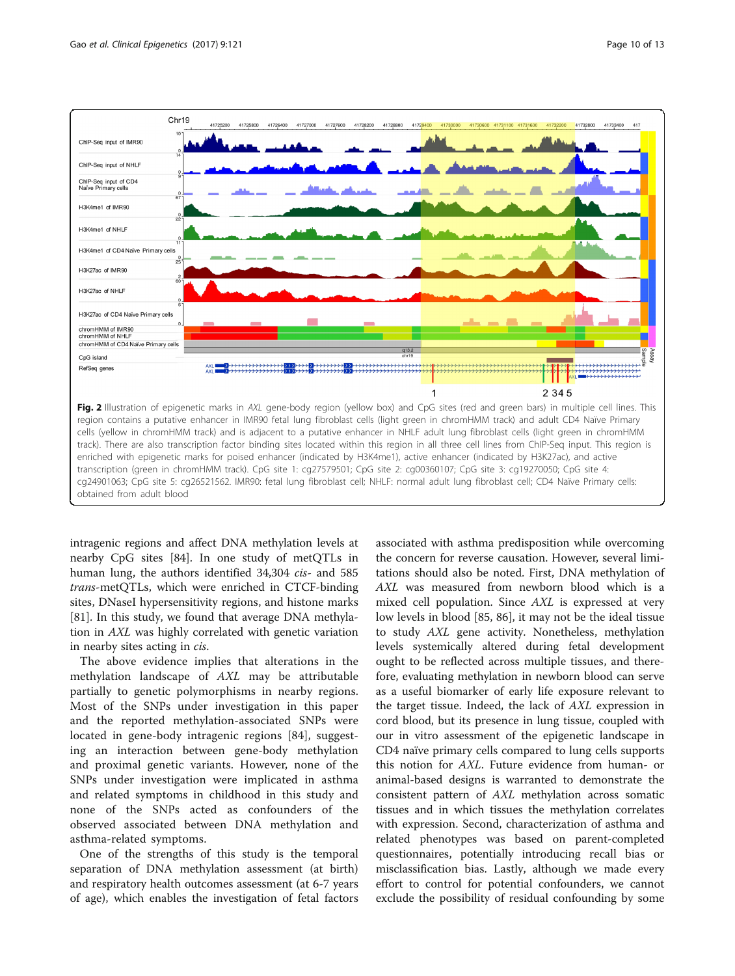<span id="page-9-0"></span>

obtained from adult blood

intragenic regions and affect DNA methylation levels at nearby CpG sites [[84\]](#page-12-0). In one study of metQTLs in human lung, the authors identified 34,304 *cis-* and 585 trans-metQTLs, which were enriched in CTCF-binding sites, DNaseI hypersensitivity regions, and histone marks [[81\]](#page-12-0). In this study, we found that average DNA methylation in AXL was highly correlated with genetic variation in nearby sites acting in cis.

The above evidence implies that alterations in the methylation landscape of AXL may be attributable partially to genetic polymorphisms in nearby regions. Most of the SNPs under investigation in this paper and the reported methylation-associated SNPs were located in gene-body intragenic regions [\[84\]](#page-12-0), suggesting an interaction between gene-body methylation and proximal genetic variants. However, none of the SNPs under investigation were implicated in asthma and related symptoms in childhood in this study and none of the SNPs acted as confounders of the observed associated between DNA methylation and asthma-related symptoms.

One of the strengths of this study is the temporal separation of DNA methylation assessment (at birth) and respiratory health outcomes assessment (at 6-7 years of age), which enables the investigation of fetal factors

associated with asthma predisposition while overcoming the concern for reverse causation. However, several limitations should also be noted. First, DNA methylation of AXL was measured from newborn blood which is a mixed cell population. Since AXL is expressed at very low levels in blood [\[85](#page-12-0), [86](#page-12-0)], it may not be the ideal tissue to study AXL gene activity. Nonetheless, methylation levels systemically altered during fetal development ought to be reflected across multiple tissues, and therefore, evaluating methylation in newborn blood can serve as a useful biomarker of early life exposure relevant to the target tissue. Indeed, the lack of AXL expression in cord blood, but its presence in lung tissue, coupled with our in vitro assessment of the epigenetic landscape in CD4 naïve primary cells compared to lung cells supports this notion for AXL. Future evidence from human- or animal-based designs is warranted to demonstrate the consistent pattern of AXL methylation across somatic tissues and in which tissues the methylation correlates with expression. Second, characterization of asthma and related phenotypes was based on parent-completed questionnaires, potentially introducing recall bias or misclassification bias. Lastly, although we made every effort to control for potential confounders, we cannot exclude the possibility of residual confounding by some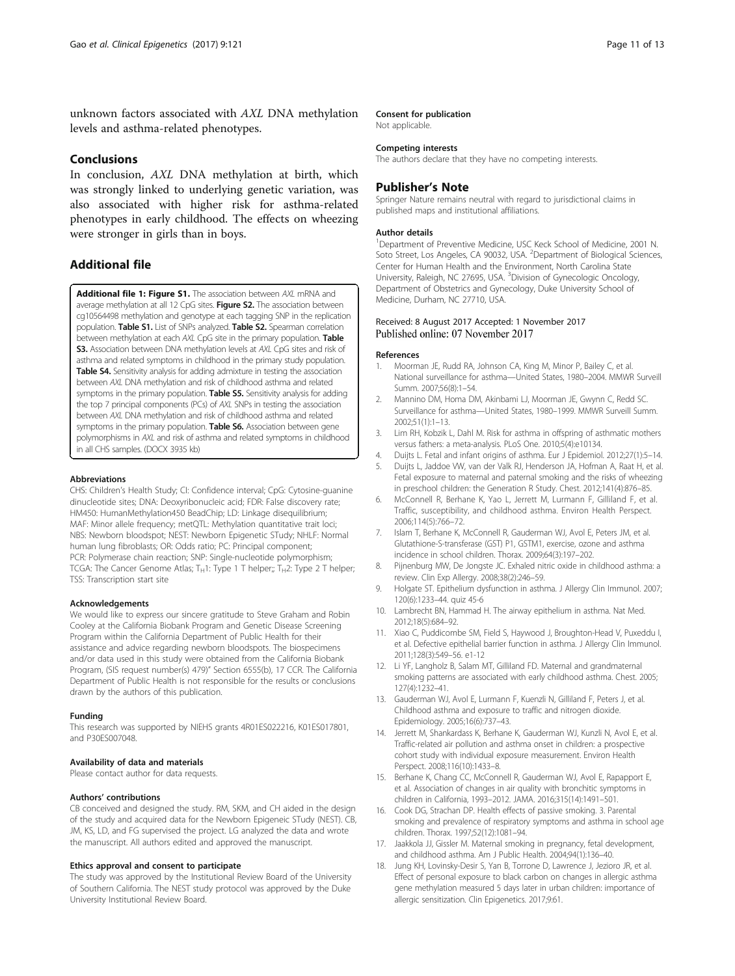<span id="page-10-0"></span>unknown factors associated with AXL DNA methylation levels and asthma-related phenotypes.

# **Conclusions**

In conclusion, AXL DNA methylation at birth, which was strongly linked to underlying genetic variation, was also associated with higher risk for asthma-related phenotypes in early childhood. The effects on wheezing were stronger in girls than in boys.

# Additional file

[Additional file 1: Figure S1.](dx.doi.org/10.1186/s13148-017-0421-8) The association between AXL mRNA and average methylation at all 12 CpG sites. Figure S2. The association between cg10564498 methylation and genotype at each tagging SNP in the replication population. Table S1. List of SNPs analyzed. Table S2. Spearman correlation between methylation at each AXL CpG site in the primary population. Table S3. Association between DNA methylation levels at AXL CpG sites and risk of asthma and related symptoms in childhood in the primary study population. Table S4. Sensitivity analysis for adding admixture in testing the association between AXL DNA methylation and risk of childhood asthma and related symptoms in the primary population. Table S5. Sensitivity analysis for adding the top 7 principal components (PCs) of AXL SNPs in testing the association between AXL DNA methylation and risk of childhood asthma and related symptoms in the primary population. Table S6. Association between gene polymorphisms in AXL and risk of asthma and related symptoms in childhood in all CHS samples. (DOCX 3935 kb)

#### Abbreviations

CHS: Children's Health Study; CI: Confidence interval; CpG: Cytosine-guanine dinucleotide sites; DNA: Deoxyribonucleic acid; FDR: False discovery rate; HM450: HumanMethylation450 BeadChip; LD: Linkage disequilibrium; MAF: Minor allele frequency; metQTL: Methylation quantitative trait loci; NBS: Newborn bloodspot; NEST: Newborn Epigenetic STudy; NHLF: Normal human lung fibroblasts; OR: Odds ratio; PC: Principal component; PCR: Polymerase chain reaction; SNP: Single-nucleotide polymorphism; TCGA: The Cancer Genome Atlas;  $T_H1$ : Type 1 T helper;;  $T_H2$ : Type 2 T helper; TSS: Transcription start site

#### Acknowledgements

We would like to express our sincere gratitude to Steve Graham and Robin Cooley at the California Biobank Program and Genetic Disease Screening Program within the California Department of Public Health for their assistance and advice regarding newborn bloodspots. The biospecimens and/or data used in this study were obtained from the California Biobank Program, (SIS request number(s) 479)" Section 6555(b), 17 CCR. The California Department of Public Health is not responsible for the results or conclusions drawn by the authors of this publication.

#### Funding

This research was supported by NIEHS grants 4R01ES022216, K01ES017801, and P30ES007048.

#### Availability of data and materials

Please contact author for data requests.

#### Authors' contributions

CB conceived and designed the study. RM, SKM, and CH aided in the design of the study and acquired data for the Newborn Epigeneic STudy (NEST). CB, JM, KS, LD, and FG supervised the project. LG analyzed the data and wrote the manuscript. All authors edited and approved the manuscript.

#### Ethics approval and consent to participate

The study was approved by the Institutional Review Board of the University of Southern California. The NEST study protocol was approved by the Duke University Institutional Review Board.

#### Consent for publication

Not applicable.

#### Competing interests

The authors declare that they have no competing interests.

#### Publisher's Note

Springer Nature remains neutral with regard to jurisdictional claims in published maps and institutional affiliations.

#### Author details

1 Department of Preventive Medicine, USC Keck School of Medicine, 2001 N. Soto Street, Los Angeles, CA 90032, USA. <sup>2</sup> Department of Biological Sciences, Center for Human Health and the Environment, North Carolina State University, Raleigh, NC 27695, USA. <sup>3</sup> Division of Gynecologic Oncology Department of Obstetrics and Gynecology, Duke University School of Medicine, Durham, NC 27710, USA.

# Received: 8 August 2017 Accepted: 1 November 2017

#### References

- 1. Moorman JE, Rudd RA, Johnson CA, King M, Minor P, Bailey C, et al. National surveillance for asthma—United States, 1980–2004. MMWR Surveill Summ. 2007;56(8):1–54.
- 2. Mannino DM, Homa DM, Akinbami LJ, Moorman JE, Gwynn C, Redd SC. Surveillance for asthma—United States, 1980–1999. MMWR Surveill Summ. 2002;51(1):1–13.
- 3. Lim RH, Kobzik L, Dahl M. Risk for asthma in offspring of asthmatic mothers versus fathers: a meta-analysis. PLoS One. 2010;5(4):e10134.
- 4. Duijts L. Fetal and infant origins of asthma. Eur J Epidemiol. 2012;27(1):5–14.
- 5. Duijts L, Jaddoe VW, van der Valk RJ, Henderson JA, Hofman A, Raat H, et al. Fetal exposure to maternal and paternal smoking and the risks of wheezing in preschool children: the Generation R Study. Chest. 2012;141(4):876–85.
- 6. McConnell R, Berhane K, Yao L, Jerrett M, Lurmann F, Gilliland F, et al. Traffic, susceptibility, and childhood asthma. Environ Health Perspect. 2006;114(5):766–72.
- 7. Islam T, Berhane K, McConnell R, Gauderman WJ, Avol E, Peters JM, et al. Glutathione-S-transferase (GST) P1, GSTM1, exercise, ozone and asthma incidence in school children. Thorax. 2009;64(3):197–202.
- Pijnenburg MW, De Jongste JC. Exhaled nitric oxide in childhood asthma: a review. Clin Exp Allergy. 2008;38(2):246–59.
- 9. Holgate ST. Epithelium dysfunction in asthma. J Allergy Clin Immunol. 2007; 120(6):1233–44. quiz 45-6
- 10. Lambrecht BN, Hammad H. The airway epithelium in asthma. Nat Med. 2012;18(5):684–92.
- 11. Xiao C, Puddicombe SM, Field S, Haywood J, Broughton-Head V, Puxeddu I, et al. Defective epithelial barrier function in asthma. J Allergy Clin Immunol. 2011;128(3):549–56. e1-12
- 12. Li YF, Langholz B, Salam MT, Gilliland FD. Maternal and grandmaternal smoking patterns are associated with early childhood asthma. Chest. 2005; 127(4):1232–41.
- 13. Gauderman WJ, Avol E, Lurmann F, Kuenzli N, Gilliland F, Peters J, et al. Childhood asthma and exposure to traffic and nitrogen dioxide. Epidemiology. 2005;16(6):737–43.
- 14. Jerrett M, Shankardass K, Berhane K, Gauderman WJ, Kunzli N, Avol E, et al. Traffic-related air pollution and asthma onset in children: a prospective cohort study with individual exposure measurement. Environ Health Perspect. 2008;116(10):1433–8.
- 15. Berhane K, Chang CC, McConnell R, Gauderman WJ, Avol E, Rapapport E, et al. Association of changes in air quality with bronchitic symptoms in children in California, 1993–2012. JAMA. 2016;315(14):1491–501.
- 16. Cook DG, Strachan DP. Health effects of passive smoking. 3. Parental smoking and prevalence of respiratory symptoms and asthma in school age children. Thorax. 1997;52(12):1081–94.
- 17. Jaakkola JJ, Gissler M. Maternal smoking in pregnancy, fetal development, and childhood asthma. Am J Public Health. 2004;94(1):136–40.
- 18. Jung KH, Lovinsky-Desir S, Yan B, Torrone D, Lawrence J, Jezioro JR, et al. Effect of personal exposure to black carbon on changes in allergic asthma gene methylation measured 5 days later in urban children: importance of allergic sensitization. Clin Epigenetics. 2017;9:61.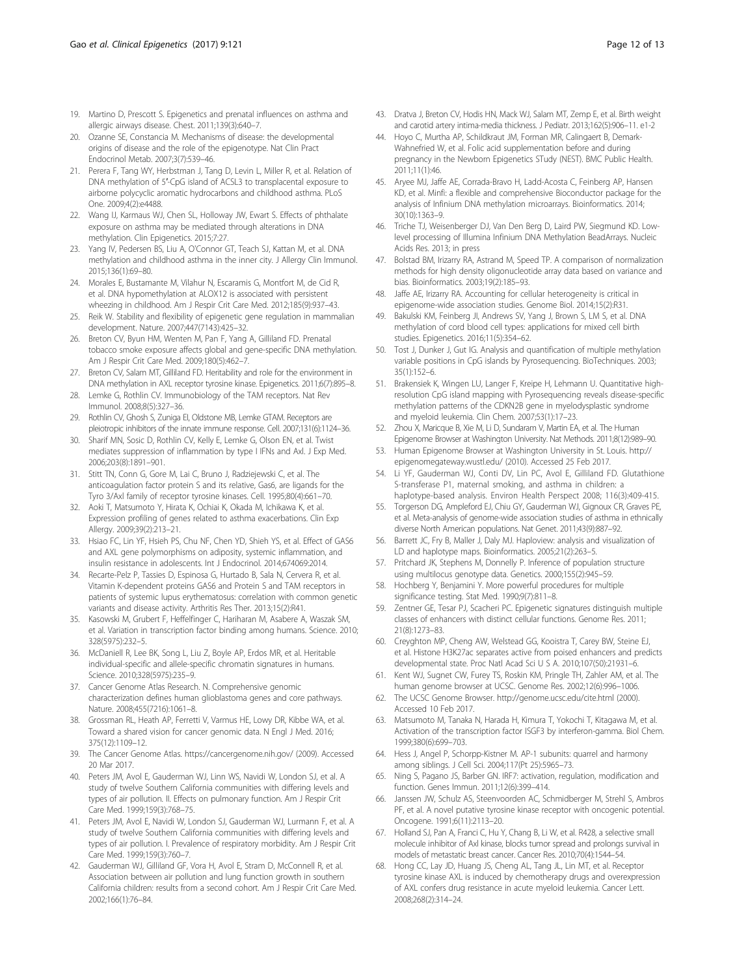- <span id="page-11-0"></span>19. Martino D, Prescott S. Epigenetics and prenatal influences on asthma and allergic airways disease. Chest. 2011;139(3):640–7.
- 20. Ozanne SE, Constancia M. Mechanisms of disease: the developmental origins of disease and the role of the epigenotype. Nat Clin Pract Endocrinol Metab. 2007;3(7):539–46.
- 21. Perera F, Tang WY, Herbstman J, Tang D, Levin L, Miller R, et al. Relation of DNA methylation of 5′-CpG island of ACSL3 to transplacental exposure to airborne polycyclic aromatic hydrocarbons and childhood asthma. PLoS One. 2009;4(2):e4488.
- 22. Wang IJ, Karmaus WJ, Chen SL, Holloway JW, Ewart S. Effects of phthalate exposure on asthma may be mediated through alterations in DNA methylation. Clin Epigenetics. 2015;7:27.
- 23. Yang IV, Pedersen BS, Liu A, O'Connor GT, Teach SJ, Kattan M, et al. DNA methylation and childhood asthma in the inner city. J Allergy Clin Immunol. 2015;136(1):69–80.
- 24. Morales E, Bustamante M, Vilahur N, Escaramis G, Montfort M, de Cid R, et al. DNA hypomethylation at ALOX12 is associated with persistent wheezing in childhood. Am J Respir Crit Care Med. 2012;185(9):937–43.
- 25. Reik W. Stability and flexibility of epigenetic gene regulation in mammalian development. Nature. 2007;447(7143):425–32.
- 26. Breton CV, Byun HM, Wenten M, Pan F, Yang A, Gilliland FD. Prenatal tobacco smoke exposure affects global and gene-specific DNA methylation. Am J Respir Crit Care Med. 2009;180(5):462–7.
- 27. Breton CV, Salam MT, Gilliland FD. Heritability and role for the environment in DNA methylation in AXL receptor tyrosine kinase. Epigenetics. 2011;6(7):895–8.
- 28. Lemke G, Rothlin CV. Immunobiology of the TAM receptors. Nat Rev Immunol. 2008;8(5):327–36.
- 29. Rothlin CV, Ghosh S, Zuniga EI, Oldstone MB, Lemke GTAM. Receptors are pleiotropic inhibitors of the innate immune response. Cell. 2007;131(6):1124–36.
- 30. Sharif MN, Sosic D, Rothlin CV, Kelly E, Lemke G, Olson EN, et al. Twist mediates suppression of inflammation by type I IFNs and Axl. J Exp Med. 2006;203(8):1891–901.
- 31. Stitt TN, Conn G, Gore M, Lai C, Bruno J, Radziejewski C, et al. The anticoagulation factor protein S and its relative, Gas6, are ligands for the Tyro 3/Axl family of receptor tyrosine kinases. Cell. 1995;80(4):661–70.
- 32. Aoki T, Matsumoto Y, Hirata K, Ochiai K, Okada M, Ichikawa K, et al. Expression profiling of genes related to asthma exacerbations. Clin Exp Allergy. 2009;39(2):213–21.
- 33. Hsiao FC, Lin YF, Hsieh PS, Chu NF, Chen YD, Shieh YS, et al. Effect of GAS6 and AXL gene polymorphisms on adiposity, systemic inflammation, and insulin resistance in adolescents. Int J Endocrinol. 2014;674069:2014.
- 34. Recarte-Pelz P, Tassies D, Espinosa G, Hurtado B, Sala N, Cervera R, et al. Vitamin K-dependent proteins GAS6 and Protein S and TAM receptors in patients of systemic lupus erythematosus: correlation with common genetic variants and disease activity. Arthritis Res Ther. 2013;15(2):R41.
- 35. Kasowski M, Grubert F, Heffelfinger C, Hariharan M, Asabere A, Waszak SM, et al. Variation in transcription factor binding among humans. Science. 2010; 328(5975):232–5.
- 36. McDaniell R, Lee BK, Song L, Liu Z, Boyle AP, Erdos MR, et al. Heritable individual-specific and allele-specific chromatin signatures in humans. Science. 2010;328(5975):235–9.
- 37. Cancer Genome Atlas Research. N. Comprehensive genomic characterization defines human glioblastoma genes and core pathways. Nature. 2008;455(7216):1061–8.
- 38. Grossman RL, Heath AP, Ferretti V, Varmus HE, Lowy DR, Kibbe WA, et al. Toward a shared vision for cancer genomic data. N Engl J Med. 2016; 375(12):1109–12.
- 39. The Cancer Genome Atlas.<https://cancergenome.nih.gov>/ (2009). Accessed 20 Mar 2017.
- 40. Peters JM, Avol E, Gauderman WJ, Linn WS, Navidi W, London SJ, et al. A study of twelve Southern California communities with differing levels and types of air pollution. II. Effects on pulmonary function. Am J Respir Crit Care Med. 1999;159(3):768–75.
- 41. Peters JM, Avol E, Navidi W, London SJ, Gauderman WJ, Lurmann F, et al. A study of twelve Southern California communities with differing levels and types of air pollution. I. Prevalence of respiratory morbidity. Am J Respir Crit Care Med. 1999;159(3):760–7.
- 42. Gauderman WJ, Gilliland GF, Vora H, Avol E, Stram D, McConnell R, et al. Association between air pollution and lung function growth in southern California children: results from a second cohort. Am J Respir Crit Care Med. 2002;166(1):76–84.
- 43. Dratva J, Breton CV, Hodis HN, Mack WJ, Salam MT, Zemp E, et al. Birth weight and carotid artery intima-media thickness. J Pediatr. 2013;162(5):906–11. e1-2
- 44. Hoyo C, Murtha AP, Schildkraut JM, Forman MR, Calingaert B, Demark-Wahnefried W, et al. Folic acid supplementation before and during pregnancy in the Newborn Epigenetics STudy (NEST). BMC Public Health. 2011;11(1):46.
- 45. Aryee MJ, Jaffe AE, Corrada-Bravo H, Ladd-Acosta C, Feinberg AP, Hansen KD, et al. Minfi: a flexible and comprehensive Bioconductor package for the analysis of Infinium DNA methylation microarrays. Bioinformatics. 2014; 30(10):1363–9.
- 46. Triche TJ, Weisenberger DJ, Van Den Berg D, Laird PW, Siegmund KD. Lowlevel processing of Illumina Infinium DNA Methylation BeadArrays. Nucleic Acids Res. 2013; in press
- 47. Bolstad BM, Irizarry RA, Astrand M, Speed TP. A comparison of normalization methods for high density oligonucleotide array data based on variance and bias. Bioinformatics. 2003;19(2):185–93.
- 48. Jaffe AE, Irizarry RA. Accounting for cellular heterogeneity is critical in epigenome-wide association studies. Genome Biol. 2014;15(2):R31.
- 49. Bakulski KM, Feinberg JI, Andrews SV, Yang J, Brown S, LM S, et al. DNA methylation of cord blood cell types: applications for mixed cell birth studies. Epigenetics. 2016;11(5):354–62.
- 50. Tost J, Dunker J, Gut IG. Analysis and quantification of multiple methylation variable positions in CpG islands by Pyrosequencing. BioTechniques. 2003; 35(1):152–6.
- 51. Brakensiek K, Wingen LU, Langer F, Kreipe H, Lehmann U. Quantitative highresolution CpG island mapping with Pyrosequencing reveals disease-specific methylation patterns of the CDKN2B gene in myelodysplastic syndrome and myeloid leukemia. Clin Chem. 2007;53(1):17–23.
- 52. Zhou X, Maricque B, Xie M, Li D, Sundaram V, Martin EA, et al. The Human Epigenome Browser at Washington University. Nat Methods. 2011;8(12):989–90.
- 53. Human Epigenome Browser at Washington University in St. Louis. [http://](http://epigenomegateway.wustl.edu) [epigenomegateway.wustl.edu/](http://epigenomegateway.wustl.edu) (2010). Accessed 25 Feb 2017.
- 54. Li YF, Gauderman WJ, Conti DV, Lin PC, Avol E, Gilliland FD. Glutathione S-transferase P1, maternal smoking, and asthma in children: a haplotype-based analysis. Environ Health Perspect 2008; 116(3):409-415.
- 55. Torgerson DG, Ampleford EJ, Chiu GY, Gauderman WJ, Gignoux CR, Graves PE, et al. Meta-analysis of genome-wide association studies of asthma in ethnically diverse North American populations. Nat Genet. 2011;43(9):887–92.
- 56. Barrett JC, Fry B, Maller J, Daly MJ. Haploview: analysis and visualization of LD and haplotype maps. Bioinformatics. 2005;21(2):263–5.
- 57. Pritchard JK, Stephens M, Donnelly P. Inference of population structure using multilocus genotype data. Genetics. 2000;155(2):945–59.
- Hochberg Y, Benjamini Y. More powerful procedures for multiple significance testing. Stat Med. 1990;9(7):811–8.
- 59. Zentner GE, Tesar PJ, Scacheri PC. Epigenetic signatures distinguish multiple classes of enhancers with distinct cellular functions. Genome Res. 2011; 21(8):1273–83.
- 60. Creyghton MP, Cheng AW, Welstead GG, Kooistra T, Carey BW, Steine EJ, et al. Histone H3K27ac separates active from poised enhancers and predicts developmental state. Proc Natl Acad Sci U S A. 2010;107(50):21931–6.
- 61. Kent WJ, Sugnet CW, Furey TS, Roskin KM, Pringle TH, Zahler AM, et al. The human genome browser at UCSC. Genome Res. 2002;12(6):996–1006.
- 62. The UCSC Genome Browser.<http://genome.ucsc.edu/cite.html> (2000). Accessed 10 Feb 2017.
- 63. Matsumoto M, Tanaka N, Harada H, Kimura T, Yokochi T, Kitagawa M, et al. Activation of the transcription factor ISGF3 by interferon-gamma. Biol Chem. 1999;380(6):699–703.
- 64. Hess J, Angel P, Schorpp-Kistner M. AP-1 subunits: quarrel and harmony among siblings. J Cell Sci. 2004;117(Pt 25):5965–73.
- 65. Ning S, Pagano JS, Barber GN. IRF7: activation, regulation, modification and function. Genes Immun. 2011;12(6):399–414.
- 66. Janssen JW, Schulz AS, Steenvoorden AC, Schmidberger M, Strehl S, Ambros PF, et al. A novel putative tyrosine kinase receptor with oncogenic potential. Oncogene. 1991;6(11):2113–20.
- 67. Holland SJ, Pan A, Franci C, Hu Y, Chang B, Li W, et al. R428, a selective small molecule inhibitor of Axl kinase, blocks tumor spread and prolongs survival in models of metastatic breast cancer. Cancer Res. 2010;70(4):1544–54.
- 68. Hong CC, Lay JD, Huang JS, Cheng AL, Tang JL, Lin MT, et al. Receptor tyrosine kinase AXL is induced by chemotherapy drugs and overexpression of AXL confers drug resistance in acute myeloid leukemia. Cancer Lett. 2008;268(2):314–24.